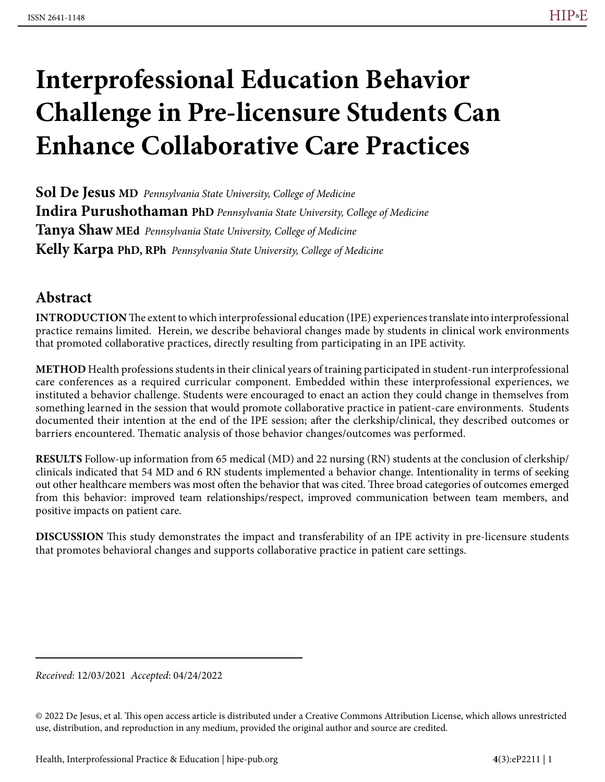# **Interprofessional Education Behavior Challenge in Pre-licensure Students Can Enhance Collaborative Care Practices**

**Sol De Jesus MD** *Pennsylvania State University, College of Medicine* **Indira Purushothaman PhD** *Pennsylvania State University, College of Medicine* **Tanya Shaw MEd** *Pennsylvania State University, College of Medicine* **Kelly Karpa PhD, RPh** *Pennsylvania State University, College of Medicine*

## **Abstract**

**INTRODUCTION** The extent to which interprofessional education (IPE) experiences translate into interprofessional practice remains limited. Herein, we describe behavioral changes made by students in clinical work environments that promoted collaborative practices, directly resulting from participating in an IPE activity.

**METHOD** Health professions students in their clinical years of training participated in student-run interprofessional care conferences as a required curricular component. Embedded within these interprofessional experiences, we instituted a behavior challenge. Students were encouraged to enact an action they could change in themselves from something learned in the session that would promote collaborative practice in patient-care environments. Students documented their intention at the end of the IPE session; after the clerkship/clinical, they described outcomes or barriers encountered. Thematic analysis of those behavior changes/outcomes was performed.

**RESULTS** Follow-up information from 65 medical (MD) and 22 nursing (RN) students at the conclusion of clerkship/ clinicals indicated that 54 MD and 6 RN students implemented a behavior change. Intentionality in terms of seeking out other healthcare members was most often the behavior that was cited. Three broad categories of outcomes emerged from this behavior: improved team relationships/respect, improved communication between team members, and positive impacts on patient care.

**DISCUSSION** This study demonstrates the impact and transferability of an IPE activity in pre-licensure students that promotes behavioral changes and supports collaborative practice in patient care settings.

*Received*: 12/03/2021 *Accepted*: 04/24/2022

© 2022 De Jesus, et al. This open access article is distributed under a Creative Commons Attribution License, which allows unrestricted use, distribution, and reproduction in any medium, provided the original author and source are credited.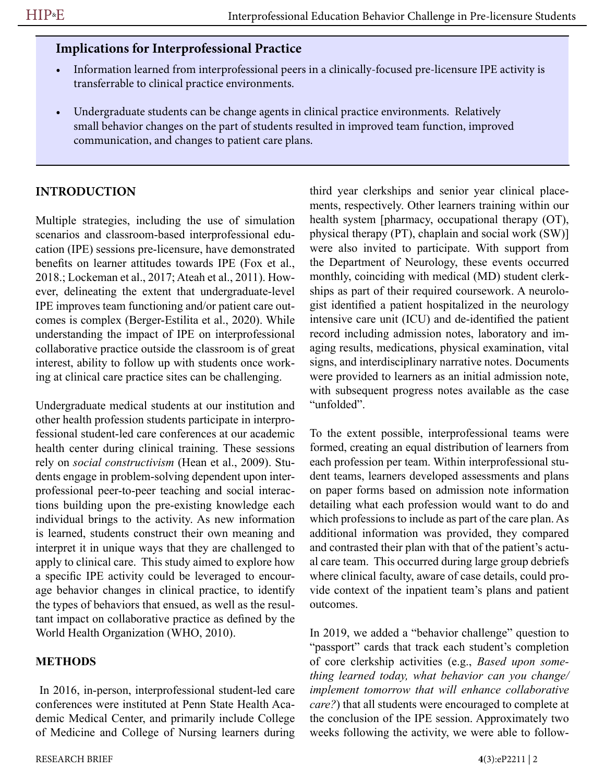## **Implications for Interprofessional Practice**

- Information learned from interprofessional peers in a clinically-focused pre-licensure IPE activity is transferrable to clinical practice environments.
- Undergraduate students can be change agents in clinical practice environments. Relatively small behavior changes on the part of students resulted in improved team function, improved communication, and changes to patient care plans.

## **INTRODUCTION**

Multiple strategies, including the use of simulation scenarios and classroom-based interprofessional education (IPE) sessions pre-licensure, have demonstrated benefits on learner attitudes towards IPE (Fox et al., 2018.; Lockeman et al., 2017; Ateah et al., 2011). However, delineating the extent that undergraduate-level IPE improves team functioning and/or patient care outcomes is complex (Berger-Estilita et al., 2020). While understanding the impact of IPE on interprofessional collaborative practice outside the classroom is of great interest, ability to follow up with students once working at clinical care practice sites can be challenging.

Undergraduate medical students at our institution and other health profession students participate in interprofessional student-led care conferences at our academic health center during clinical training. These sessions rely on *social constructivism* (Hean et al., 2009). Students engage in problem-solving dependent upon interprofessional peer-to-peer teaching and social interactions building upon the pre-existing knowledge each individual brings to the activity. As new information is learned, students construct their own meaning and interpret it in unique ways that they are challenged to apply to clinical care. This study aimed to explore how a specific IPE activity could be leveraged to encourage behavior changes in clinical practice, to identify the types of behaviors that ensued, as well as the resultant impact on collaborative practice as defined by the World Health Organization (WHO, 2010).

## **METHODS**

 In 2016, in-person, interprofessional student-led care conferences were instituted at Penn State Health Academic Medical Center, and primarily include College of Medicine and College of Nursing learners during

third year clerkships and senior year clinical placements, respectively. Other learners training within our health system [pharmacy, occupational therapy (OT), physical therapy (PT), chaplain and social work (SW)] were also invited to participate. With support from the Department of Neurology, these events occurred monthly, coinciding with medical (MD) student clerkships as part of their required coursework. A neurologist identified a patient hospitalized in the neurology intensive care unit (ICU) and de-identified the patient record including admission notes, laboratory and imaging results, medications, physical examination, vital signs, and interdisciplinary narrative notes. Documents were provided to learners as an initial admission note, with subsequent progress notes available as the case "unfolded".

To the extent possible, interprofessional teams were formed, creating an equal distribution of learners from each profession per team. Within interprofessional student teams, learners developed assessments and plans on paper forms based on admission note information detailing what each profession would want to do and which professions to include as part of the care plan. As additional information was provided, they compared and contrasted their plan with that of the patient's actual care team. This occurred during large group debriefs where clinical faculty, aware of case details, could provide context of the inpatient team's plans and patient outcomes.

In 2019, we added a "behavior challenge" question to "passport" cards that track each student's completion of core clerkship activities (e.g., *Based upon something learned today, what behavior can you change/ implement tomorrow that will enhance collaborative care?*) that all students were encouraged to complete at the conclusion of the IPE session. Approximately two weeks following the activity, we were able to follow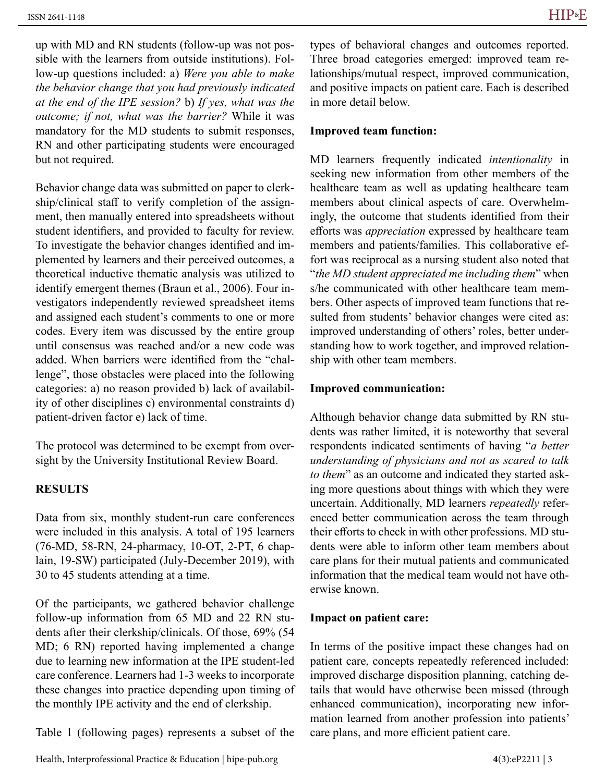up with MD and RN students (follow-up was not possible with the learners from outside institutions). Follow-up questions included: a) *Were you able to make the behavior change that you had previously indicated at the end of the IPE session?* b) *If yes, what was the outcome; if not, what was the barrier?* While it was mandatory for the MD students to submit responses, RN and other participating students were encouraged but not required.

Behavior change data was submitted on paper to clerkship/clinical staff to verify completion of the assignment, then manually entered into spreadsheets without student identifiers, and provided to faculty for review. To investigate the behavior changes identified and implemented by learners and their perceived outcomes, a theoretical inductive thematic analysis was utilized to identify emergent themes (Braun et al., 2006). Four investigators independently reviewed spreadsheet items and assigned each student's comments to one or more codes. Every item was discussed by the entire group until consensus was reached and/or a new code was added. When barriers were identified from the "challenge", those obstacles were placed into the following categories: a) no reason provided b) lack of availability of other disciplines c) environmental constraints d) patient-driven factor e) lack of time.

The protocol was determined to be exempt from oversight by the University Institutional Review Board.

#### **RESULTS**

Data from six, monthly student-run care conferences were included in this analysis. A total of 195 learners (76-MD, 58-RN, 24-pharmacy, 10-OT, 2-PT, 6 chaplain, 19-SW) participated (July-December 2019), with 30 to 45 students attending at a time.

Of the participants, we gathered behavior challenge follow-up information from 65 MD and 22 RN students after their clerkship/clinicals. Of those, 69% (54 MD; 6 RN) reported having implemented a change due to learning new information at the IPE student-led care conference. Learners had 1-3 weeks to incorporate these changes into practice depending upon timing of the monthly IPE activity and the end of clerkship.

Table 1 (following pages) represents a subset of the

types of behavioral changes and outcomes reported. Three broad categories emerged: improved team relationships/mutual respect, improved communication, and positive impacts on patient care. Each is described in more detail below.

#### **Improved team function:**

MD learners frequently indicated *intentionality* in seeking new information from other members of the healthcare team as well as updating healthcare team members about clinical aspects of care. Overwhelmingly, the outcome that students identified from their efforts was *appreciation* expressed by healthcare team members and patients/families. This collaborative effort was reciprocal as a nursing student also noted that "*the MD student appreciated me including them*" when s/he communicated with other healthcare team members. Other aspects of improved team functions that resulted from students' behavior changes were cited as: improved understanding of others' roles, better understanding how to work together, and improved relationship with other team members.

#### **Improved communication:**

Although behavior change data submitted by RN students was rather limited, it is noteworthy that several respondents indicated sentiments of having "*a better understanding of physicians and not as scared to talk to them*" as an outcome and indicated they started asking more questions about things with which they were uncertain. Additionally, MD learners *repeatedly* referenced better communication across the team through their efforts to check in with other professions. MD students were able to inform other team members about care plans for their mutual patients and communicated information that the medical team would not have otherwise known.

#### **Impact on patient care:**

In terms of the positive impact these changes had on patient care, concepts repeatedly referenced included: improved discharge disposition planning, catching details that would have otherwise been missed (through enhanced communication), incorporating new information learned from another profession into patients' care plans, and more efficient patient care.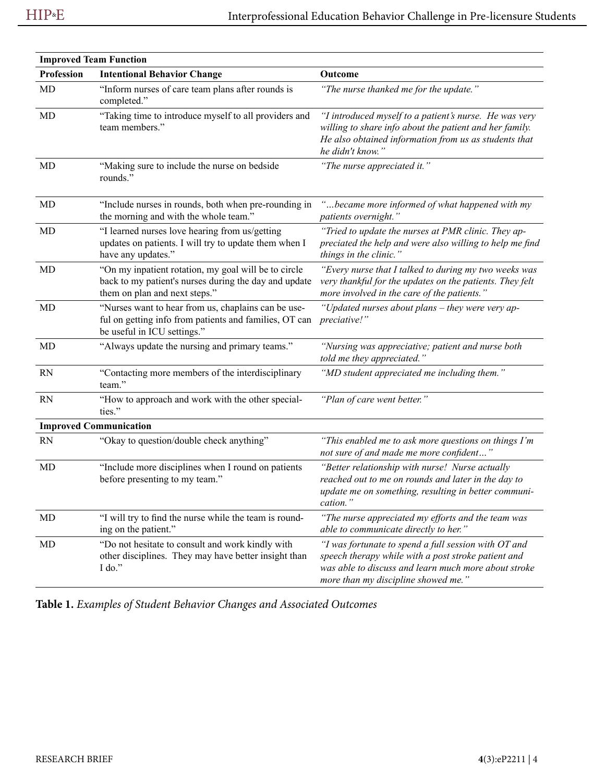| <b>Improved Team Function</b> |                                                                                                                                                |                                                                                                                                                                                                            |  |
|-------------------------------|------------------------------------------------------------------------------------------------------------------------------------------------|------------------------------------------------------------------------------------------------------------------------------------------------------------------------------------------------------------|--|
| <b>Profession</b>             | <b>Intentional Behavior Change</b>                                                                                                             | Outcome                                                                                                                                                                                                    |  |
| MD                            | "Inform nurses of care team plans after rounds is<br>completed."                                                                               | "The nurse thanked me for the update."                                                                                                                                                                     |  |
| <b>MD</b>                     | "Taking time to introduce myself to all providers and<br>team members."                                                                        | "I introduced myself to a patient's nurse. He was very<br>willing to share info about the patient and her family.<br>He also obtained information from us as students that<br>he didn't know."             |  |
| <b>MD</b>                     | "Making sure to include the nurse on bedside<br>rounds."                                                                                       | "The nurse appreciated it."                                                                                                                                                                                |  |
| MD                            | "Include nurses in rounds, both when pre-rounding in<br>the morning and with the whole team."                                                  | "became more informed of what happened with my<br>patients overnight."                                                                                                                                     |  |
| <b>MD</b>                     | "I learned nurses love hearing from us/getting<br>updates on patients. I will try to update them when I<br>have any updates."                  | "Tried to update the nurses at PMR clinic. They ap-<br>preciated the help and were also willing to help me find<br>things in the clinic."                                                                  |  |
| MD                            | "On my inpatient rotation, my goal will be to circle<br>back to my patient's nurses during the day and update<br>them on plan and next steps." | "Every nurse that I talked to during my two weeks was<br>very thankful for the updates on the patients. They felt<br>more involved in the care of the patients."                                           |  |
| MD                            | "Nurses want to hear from us, chaplains can be use-<br>ful on getting info from patients and families, OT can<br>be useful in ICU settings."   | "Updated nurses about plans - they were very ap-<br>preciative!"                                                                                                                                           |  |
| MD                            | "Always update the nursing and primary teams."                                                                                                 | "Nursing was appreciative; patient and nurse both<br>told me they appreciated."                                                                                                                            |  |
| <b>RN</b>                     | "Contacting more members of the interdisciplinary<br>team."                                                                                    | "MD student appreciated me including them."                                                                                                                                                                |  |
| <b>RN</b>                     | "How to approach and work with the other special-<br>ties."                                                                                    | "Plan of care went better."                                                                                                                                                                                |  |
|                               | <b>Improved Communication</b>                                                                                                                  |                                                                                                                                                                                                            |  |
| <b>RN</b>                     | "Okay to question/double check anything"                                                                                                       | "This enabled me to ask more questions on things I'm<br>not sure of and made me more confident"                                                                                                            |  |
| MD                            | "Include more disciplines when I round on patients<br>before presenting to my team."                                                           | "Better relationship with nurse! Nurse actually<br>reached out to me on rounds and later in the day to<br>update me on something, resulting in better communi-<br>cation.'                                 |  |
| MD                            | "I will try to find the nurse while the team is round-<br>ing on the patient."                                                                 | "The nurse appreciated my efforts and the team was<br>able to communicate directly to her."                                                                                                                |  |
| MD                            | "Do not hesitate to consult and work kindly with<br>other disciplines. They may have better insight than<br>I do."                             | "I was fortunate to spend a full session with OT and<br>speech therapy while with a post stroke patient and<br>was able to discuss and learn much more about stroke<br>more than my discipline showed me." |  |

**Table 1.** *Examples of Student Behavior Changes and Associated Outcomes*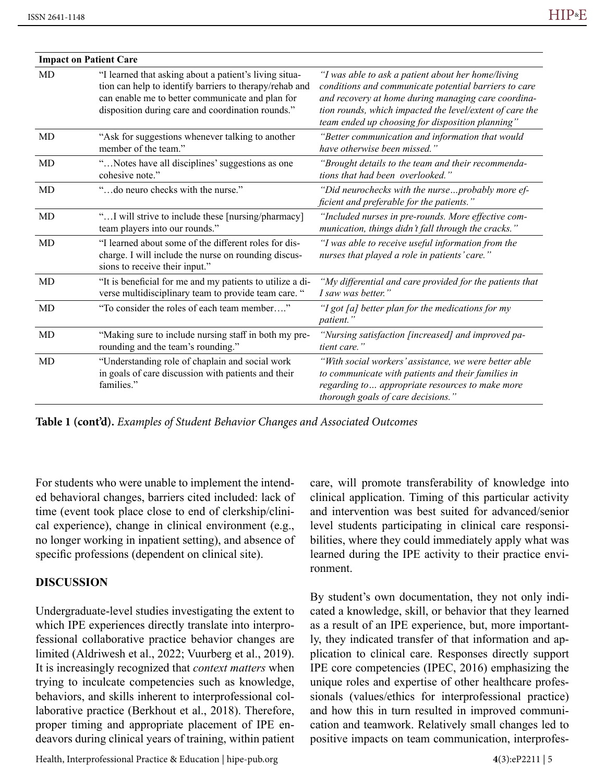| <b>Impact on Patient Care</b> |                                                                                                                                                                                                                            |                                                                                                                                                                                                                                                                                    |
|-------------------------------|----------------------------------------------------------------------------------------------------------------------------------------------------------------------------------------------------------------------------|------------------------------------------------------------------------------------------------------------------------------------------------------------------------------------------------------------------------------------------------------------------------------------|
| <b>MD</b>                     | "I learned that asking about a patient's living situa-<br>tion can help to identify barriers to therapy/rehab and<br>can enable me to better communicate and plan for<br>disposition during care and coordination rounds." | "I was able to ask a patient about her home/living<br>conditions and communicate potential barriers to care<br>and recovery at home during managing care coordina-<br>tion rounds, which impacted the level/extent of care the<br>team ended up choosing for disposition planning" |
| MD                            | "Ask for suggestions whenever talking to another<br>member of the team."                                                                                                                                                   | "Better communication and information that would<br>have otherwise been missed.'                                                                                                                                                                                                   |
| MD                            | "Notes have all disciplines' suggestions as one<br>cohesive note."                                                                                                                                                         | "Brought details to the team and their recommenda-<br>tions that had been overlooked."                                                                                                                                                                                             |
| MD                            | "do neuro checks with the nurse."                                                                                                                                                                                          | "Did neurochecks with the nurseprobably more ef-<br>ficient and preferable for the patients."                                                                                                                                                                                      |
| MD                            | "I will strive to include these [nursing/pharmacy]<br>team players into our rounds."                                                                                                                                       | "Included nurses in pre-rounds. More effective com-<br>munication, things didn't fall through the cracks."                                                                                                                                                                         |
| MD                            | "I learned about some of the different roles for dis-<br>charge. I will include the nurse on rounding discus-<br>sions to receive their input."                                                                            | "I was able to receive useful information from the<br>nurses that played a role in patients' care."                                                                                                                                                                                |
| MD                            | "It is beneficial for me and my patients to utilize a di-<br>verse multidisciplinary team to provide team care. "                                                                                                          | "My differential and care provided for the patients that<br>I saw was better."                                                                                                                                                                                                     |
| MD                            | "To consider the roles of each team member"                                                                                                                                                                                | "I got [a] better plan for the medications for my<br>patient."                                                                                                                                                                                                                     |
| MD                            | "Making sure to include nursing staff in both my pre-<br>rounding and the team's rounding."                                                                                                                                | "Nursing satisfaction [increased] and improved pa-<br>tient care."                                                                                                                                                                                                                 |
| MD                            | "Understanding role of chaplain and social work<br>in goals of care discussion with patients and their<br>families."                                                                                                       | "With social workers' assistance, we were better able<br>to communicate with patients and their families in<br>regarding to appropriate resources to make more<br>thorough goals of care decisions."                                                                               |

**Table 1 (cont'd).** *Examples of Student Behavior Changes and Associated Outcomes*

For students who were unable to implement the intended behavioral changes, barriers cited included: lack of time (event took place close to end of clerkship/clinical experience), change in clinical environment (e.g., no longer working in inpatient setting), and absence of specific professions (dependent on clinical site).

#### **DISCUSSION**

Undergraduate-level studies investigating the extent to which IPE experiences directly translate into interprofessional collaborative practice behavior changes are limited (Aldriwesh et al., 2022; Vuurberg et al., 2019). It is increasingly recognized that *context matters* when trying to inculcate competencies such as knowledge, behaviors, and skills inherent to interprofessional collaborative practice (Berkhout et al., 2018). Therefore, proper timing and appropriate placement of IPE endeavors during clinical years of training, within patient

care, will promote transferability of knowledge into clinical application. Timing of this particular activity and intervention was best suited for advanced/senior level students participating in clinical care responsibilities, where they could immediately apply what was learned during the IPE activity to their practice environment.

By student's own documentation, they not only indicated a knowledge, skill, or behavior that they learned as a result of an IPE experience, but, more importantly, they indicated transfer of that information and application to clinical care. Responses directly support IPE core competencies (IPEC, 2016) emphasizing the unique roles and expertise of other healthcare professionals (values/ethics for interprofessional practice) and how this in turn resulted in improved communication and teamwork. Relatively small changes led to positive impacts on team communication, interprofes-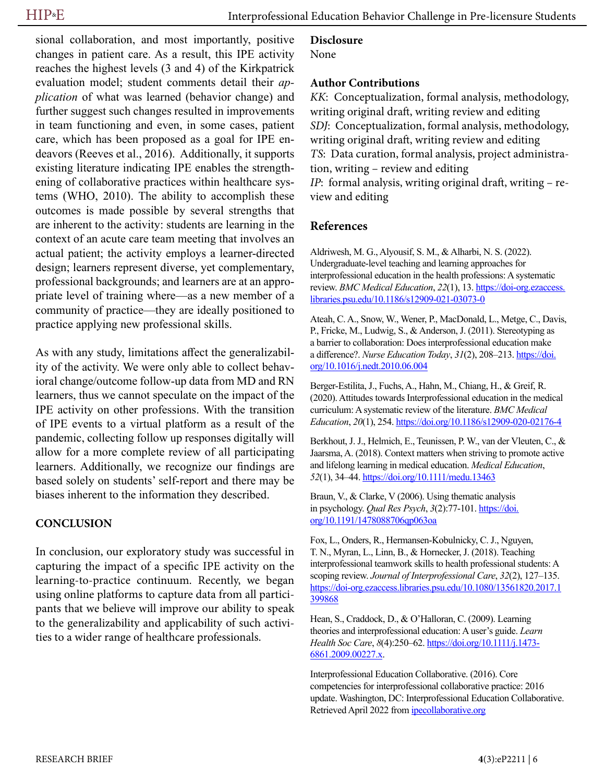sional collaboration, and most importantly, positive changes in patient care. As a result, this IPE activity reaches the highest levels (3 and 4) of the Kirkpatrick evaluation model; student comments detail their *application* of what was learned (behavior change) and further suggest such changes resulted in improvements in team functioning and even, in some cases, patient care, which has been proposed as a goal for IPE endeavors (Reeves et al., 2016). Additionally, it supports existing literature indicating IPE enables the strengthening of collaborative practices within healthcare systems (WHO, 2010). The ability to accomplish these outcomes is made possible by several strengths that are inherent to the activity: students are learning in the context of an acute care team meeting that involves an actual patient; the activity employs a learner-directed design; learners represent diverse, yet complementary, professional backgrounds; and learners are at an appropriate level of training where—as a new member of a community of practice—they are ideally positioned to practice applying new professional skills.

As with any study, limitations affect the generalizability of the activity. We were only able to collect behavioral change/outcome follow-up data from MD and RN learners, thus we cannot speculate on the impact of the IPE activity on other professions. With the transition of IPE events to a virtual platform as a result of the pandemic, collecting follow up responses digitally will allow for a more complete review of all participating learners. Additionally, we recognize our findings are based solely on students' self-report and there may be biases inherent to the information they described.

#### **CONCLUSION**

In conclusion, our exploratory study was successful in capturing the impact of a specific IPE activity on the learning-to-practice continuum. Recently, we began using online platforms to capture data from all participants that we believe will improve our ability to speak to the generalizability and applicability of such activities to a wider range of healthcare professionals.

#### **Disclosure**

None

#### **Author Contributions**

*KK*: Conceptualization, formal analysis, methodology, writing original draft, writing review and editing *SDJ*: Conceptualization, formal analysis, methodology, writing original draft, writing review and editing *TS*: Data curation, formal analysis, project administration, writing – review and editing *IP*: formal analysis, writing original draft, writing – review and editing

#### **References**

Aldriwesh, M. G., Alyousif, S. M., & Alharbi, N. S. (2022). Undergraduate-level teaching and learning approaches for interprofessional education in the health professions: A systematic review. *BMC Medical Education*, 22(1), 13. [https://doi-org.ezaccess.](https://doi-org.ezaccess.libraries.psu.edu/10.1186/s12909-021-03073-0) [libraries.psu.edu/10.1186/s12909-021-03073-0](https://doi-org.ezaccess.libraries.psu.edu/10.1186/s12909-021-03073-0)

Ateah, C. A., Snow, W., Wener, P., MacDonald, L., Metge, C., Davis, P., Fricke, M., Ludwig, S., & Anderson, J. (2011). Stereotyping as a barrier to collaboration: Does interprofessional education make a difference?. *Nurse Education Today*, *31*(2), 208–213. [https://doi.](https://doi.org/10.1016/j.nedt.2010.06.004) [org/10.1016/j.nedt.2010.06.004](https://doi.org/10.1016/j.nedt.2010.06.004)

Berger-Estilita, J., Fuchs, A., Hahn, M., Chiang, H., & Greif, R. (2020). Attitudes towards Interprofessional education in the medical curriculum: A systematic review of the literature. *BMC Medical Education*, *20*(1), 254.<https://doi.org/10.1186/s12909-020-02176-4>

Berkhout, J. J., Helmich, E., Teunissen, P. W., van der Vleuten, C., & Jaarsma, A. (2018). Context matters when striving to promote active and lifelong learning in medical education. *Medical Education*, *52*(1), 34–44.<https://doi.org/10.1111/medu.13463>

Braun, V., & Clarke, V (2006). Using thematic analysis in psychology. *Qual Res Psych*, *3*(2):77-101. [https://doi.](https://doi.org/10.1191/1478088706qp063oa) [org/10.1191/1478088706qp063oa](https://doi.org/10.1191/1478088706qp063oa)

Fox, L., Onders, R., Hermansen-Kobulnicky, C. J., Nguyen, T. N., Myran, L., Linn, B., & Hornecker, J. (2018). Teaching interprofessional teamwork skills to health professional students: A scoping review. *Journal of Interprofessional Care*, *32*(2), 127–135. [https://doi-org.ezaccess.libraries.psu.edu/10.1080/13561820.2017.1](https://doi-org.ezaccess.libraries.psu.edu/10.1080/13561820.2017.1399868) [399868](https://doi-org.ezaccess.libraries.psu.edu/10.1080/13561820.2017.1399868)

Hean, S., Craddock, D., & O'Halloran, C. (2009). Learning theories and interprofessional education: A user's guide. *Learn Health Soc Care*, *8*(4):250–62. [https://doi.org/10.1111/j.1473-](https://doi.org/10.1111/j.1473-6861.2009.00227.x) [6861.2009.00227.x](https://doi.org/10.1111/j.1473-6861.2009.00227.x).

Interprofessional Education Collaborative. (2016). Core competencies for interprofessional collaborative practice: 2016 update. Washington, DC: Interprofessional Education Collaborative. Retrieved April 2022 from [ipecollaborative.org](http://ipecollaborative.org)